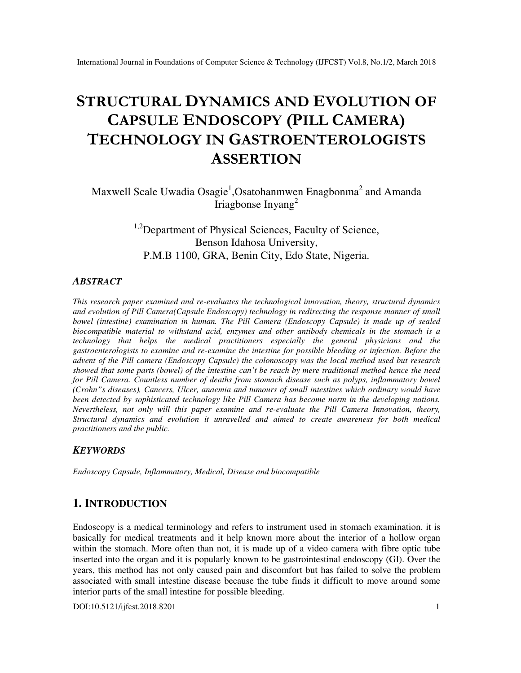# **STRUCTURAL DYNAMICS AND EVOLUTION OF CAPSULE ENDOSCOPY (PILL CAMERA) TECHNOLOGY IN GASTROENTEROLOGISTS ASSERTION**

Maxwell Scale Uwadia Osagie<sup>1</sup>,Osatohanmwen Enagbonma<sup>2</sup> and Amanda Iriagbonse Inyang<sup>2</sup>

> <sup>1,2</sup>Department of Physical Sciences, Faculty of Science, Benson Idahosa University, P.M.B 1100, GRA, Benin City, Edo State, Nigeria.

#### *ABSTRACT*

*This research paper examined and re-evaluates the technological innovation, theory, structural dynamics and evolution of Pill Camera(Capsule Endoscopy) technology in redirecting the response manner of small bowel (intestine) examination in human. The Pill Camera (Endoscopy Capsule) is made up of sealed biocompatible material to withstand acid, enzymes and other antibody chemicals in the stomach is a technology that helps the medical practitioners especially the general physicians and the gastroenterologists to examine and re-examine the intestine for possible bleeding or infection. Before the advent of the Pill camera (Endoscopy Capsule) the colonoscopy was the local method used but research showed that some parts (bowel) of the intestine can't be reach by mere traditional method hence the need for Pill Camera. Countless number of deaths from stomach disease such as polyps, inflammatory bowel (Crohn"s diseases), Cancers, Ulcer, anaemia and tumours of small intestines which ordinary would have been detected by sophisticated technology like Pill Camera has become norm in the developing nations. Nevertheless, not only will this paper examine and re-evaluate the Pill Camera Innovation, theory, Structural dynamics and evolution it unravelled and aimed to create awareness for both medical practitioners and the public.* 

### *KEYWORDS*

*Endoscopy Capsule, Inflammatory, Medical, Disease and biocompatible* 

## **1. INTRODUCTION**

Endoscopy is a medical terminology and refers to instrument used in stomach examination. it is basically for medical treatments and it help known more about the interior of a hollow organ within the stomach. More often than not, it is made up of a video camera with fibre optic tube inserted into the organ and it is popularly known to be gastrointestinal endoscopy (GI). Over the years, this method has not only caused pain and discomfort but has failed to solve the problem associated with small intestine disease because the tube finds it difficult to move around some interior parts of the small intestine for possible bleeding.

DOI:10.5121/ijfcst.2018.8201 1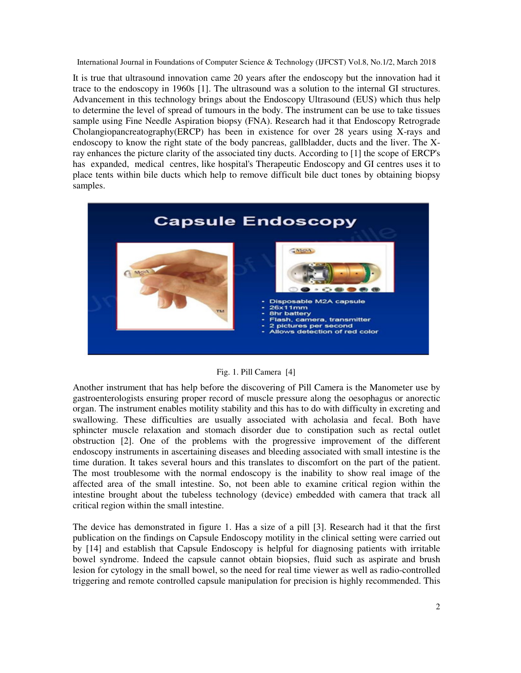It is true that ultrasound innovation came 20 years after the endoscopy but the innovation had it trace to the endoscopy in 1960s [1]. The ultrasound was a solution to the internal GI structures. Advancement in this technology brings about the Endoscopy Ultrasound (EUS) which thus help to determine the level of spread of tumours in the body. The instrument can be use to take tissues sample using Fine Needle Aspiration biopsy (FNA). Research had it that Endoscopy Retrograde Cholangiopancreatography(ERCP) has been in existence for over 28 years using X-rays and endoscopy to know the right state of the body pancreas, gallbladder, ducts and the liver. The Xray enhances the picture clarity of the associated tiny ducts. According to [1] the scope of ERCP's has expanded, medical centres, like hospital's Therapeutic Endoscopy and GI centres uses it to place tents within bile ducts which help to remove difficult bile duct tones by obtaining biopsy samples.



#### Fig. 1. Pill Camera [4]

Another instrument that has help before the discovering of Pill Camera is the Manometer use by gastroenterologists ensuring proper record of muscle pressure along the oesophagus or anorectic organ. The instrument enables motility stability and this has to do with difficulty in excreting and swallowing. These difficulties are usually associated with acholasia and fecal. Both have sphincter muscle relaxation and stomach disorder due to constipation such as rectal outlet obstruction [2]. One of the problems with the progressive improvement of the different endoscopy instruments in ascertaining diseases and bleeding associated with small intestine is the time duration. It takes several hours and this translates to discomfort on the part of the patient. The most troublesome with the normal endoscopy is the inability to show real image of the affected area of the small intestine. So, not been able to examine critical region within the intestine brought about the tubeless technology (device) embedded with camera that track all critical region within the small intestine.

The device has demonstrated in figure 1. Has a size of a pill [3]. Research had it that the first publication on the findings on Capsule Endoscopy motility in the clinical setting were carried out by [14] and establish that Capsule Endoscopy is helpful for diagnosing patients with irritable bowel syndrome. Indeed the capsule cannot obtain biopsies, fluid such as aspirate and brush lesion for cytology in the small bowel, so the need for real time viewer as well as radio-controlled triggering and remote controlled capsule manipulation for precision is highly recommended. This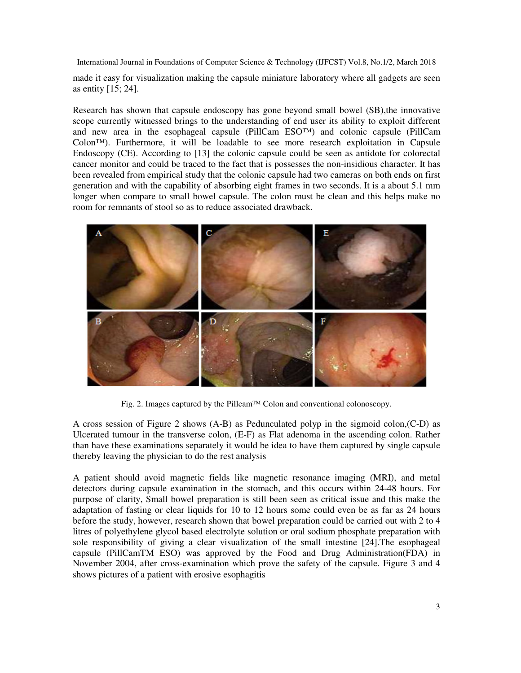made it easy for visualization making the capsule miniature laboratory where all gadgets are seen as entity [15; 24].

Research has shown that capsule endoscopy has gone beyond small bowel (SB),the innovative scope currently witnessed brings to the understanding of end user its ability to exploit different and new area in the esophageal capsule (PillCam  $ESO<sup>TM</sup>$ ) and colonic capsule (PillCam Colon™). Furthermore, it will be loadable to see more research exploitation in Capsule Endoscopy (CE). According to [13] the colonic capsule could be seen as antidote for colorectal cancer monitor and could be traced to the fact that is possesses the non-insidious character. It has been revealed from empirical study that the colonic capsule had two cameras on both ends on first generation and with the capability of absorbing eight frames in two seconds. It is a about 5.1 mm longer when compare to small bowel capsule. The colon must be clean and this helps make no room for remnants of stool so as to reduce associated drawback.



Fig. 2. Images captured by the Pillcam™ Colon and conventional colonoscopy.

A cross session of Figure 2 shows (A-B) as Pedunculated polyp in the sigmoid colon,(C-D) as Ulcerated tumour in the transverse colon, (E-F) as Flat adenoma in the ascending colon. Rather than have these examinations separately it would be idea to have them captured by single capsule thereby leaving the physician to do the rest analysis

A patient should avoid magnetic fields like magnetic resonance imaging (MRI), and metal detectors during capsule examination in the stomach, and this occurs within 24-48 hours. For purpose of clarity, Small bowel preparation is still been seen as critical issue and this make the adaptation of fasting or clear liquids for 10 to 12 hours some could even be as far as 24 hours before the study, however, research shown that bowel preparation could be carried out with 2 to 4 litres of polyethylene glycol based electrolyte solution or oral sodium phosphate preparation with sole responsibility of giving a clear visualization of the small intestine [24].The esophageal capsule (PillCamTM ESO) was approved by the Food and Drug Administration(FDA) in November 2004, after cross-examination which prove the safety of the capsule. Figure 3 and 4 shows pictures of a patient with erosive esophagitis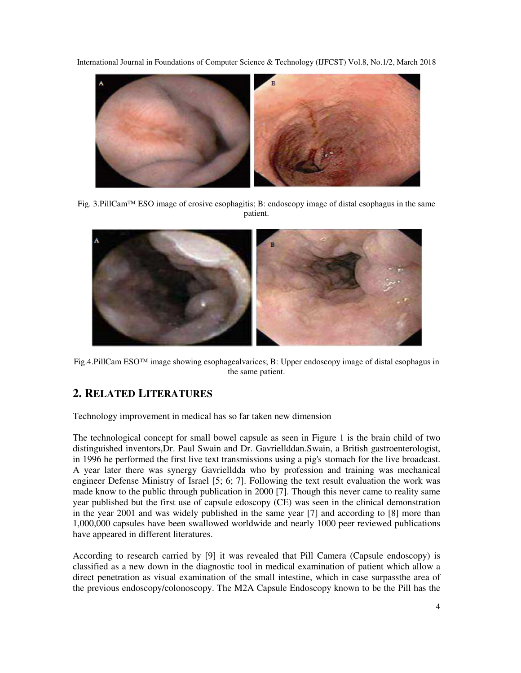

Fig. 3.PillCam™ ESO image of erosive esophagitis; B: endoscopy image of distal esophagus in the same patient.



Fig.4.PillCam ESO™ image showing esophagealvarices; B: Upper endoscopy image of distal esophagus in the same patient.

# **2. RELATED LITERATURES**

Technology improvement in medical has so far taken new dimension

The technological concept for small bowel capsule as seen in Figure 1 is the brain child of two distinguished inventors,Dr. Paul Swain and Dr. Gavriellddan.Swain, a British gastroenterologist, in 1996 he performed the first live text transmissions using a pig's stomach for the live broadcast. A year later there was synergy Gavrielldda who by profession and training was mechanical engineer Defense Ministry of Israel [5; 6; 7]. Following the text result evaluation the work was made know to the public through publication in 2000 [7]. Though this never came to reality same year published but the first use of capsule edoscopy (CE) was seen in the clinical demonstration in the year 2001 and was widely published in the same year [7] and according to [8] more than 1,000,000 capsules have been swallowed worldwide and nearly 1000 peer reviewed publications have appeared in different literatures.

According to research carried by [9] it was revealed that Pill Camera (Capsule endoscopy) is classified as a new down in the diagnostic tool in medical examination of patient which allow a direct penetration as visual examination of the small intestine, which in case surpassthe area of the previous endoscopy/colonoscopy. The M2A Capsule Endoscopy known to be the Pill has the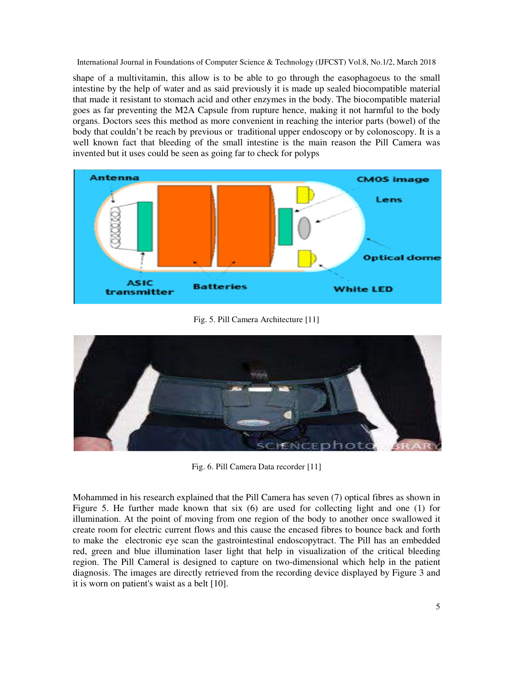shape of a multivitamin, this allow is to be able to go through the easophagoeus to the small intestine by the help of water and as said previously it is made up sealed biocompatible material that made it resistant to stomach acid and other enzymes in the body. The biocompatible material goes as far preventing the M2A Capsule from rupture hence, making it not harmful to the body organs. Doctors sees this method as more convenient in reaching the interior parts (bowel) of the body that couldn't be reach by previous or traditional upper endoscopy or by colonoscopy. It is a well known fact that bleeding of the small intestine is the main reason the Pill Camera was invented but it uses could be seen as going far to check for polyps



Fig. 5. Pill Camera Architecture [11]



Fig. 6. Pill Camera Data recorder [11]

Mohammed in his research explained that the Pill Camera has seven (7) optical fibres as shown in Figure 5. He further made known that six (6) are used for collecting light and one (1) for illumination. At the point of moving from one region of the body to another once swallowed it create room for electric current flows and this cause the encased fibres to bounce back and forth to make the electronic eye scan the gastrointestinal endoscopytract. The Pill has an embedded red, green and blue illumination laser light that help in visualization of the critical bleeding region. The Pill Cameral is designed to capture on two-dimensional which help in the patient diagnosis. The images are directly retrieved from the recording device displayed by Figure 3 and it is worn on patient's waist as a belt [10].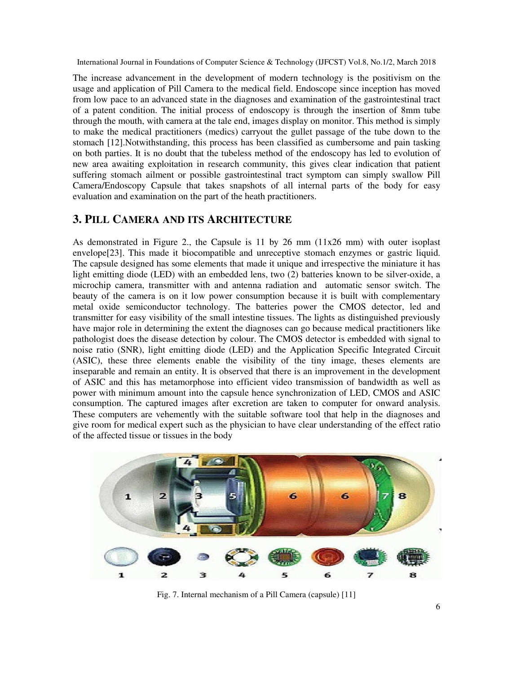The increase advancement in the development of modern technology is the positivism on the usage and application of Pill Camera to the medical field. Endoscope since inception has moved from low pace to an advanced state in the diagnoses and examination of the gastrointestinal tract of a patent condition. The initial process of endoscopy is through the insertion of 8mm tube through the mouth, with camera at the tale end, images display on monitor. This method is simply to make the medical practitioners (medics) carryout the gullet passage of the tube down to the stomach [12].Notwithstanding, this process has been classified as cumbersome and pain tasking on both parties. It is no doubt that the tubeless method of the endoscopy has led to evolution of new area awaiting exploitation in research community, this gives clear indication that patient suffering stomach ailment or possible gastrointestinal tract symptom can simply swallow Pill Camera/Endoscopy Capsule that takes snapshots of all internal parts of the body for easy evaluation and examination on the part of the heath practitioners.

### **3. PILL CAMERA AND ITS ARCHITECTURE**

As demonstrated in Figure 2., the Capsule is 11 by 26 mm (11x26 mm) with outer isoplast envelope[23]. This made it biocompatible and unreceptive stomach enzymes or gastric liquid. The capsule designed has some elements that made it unique and irrespective the miniature it has light emitting diode (LED) with an embedded lens, two (2) batteries known to be silver-oxide, a microchip camera, transmitter with and antenna radiation and automatic sensor switch. The beauty of the camera is on it low power consumption because it is built with complementary metal oxide semiconductor technology. The batteries power the CMOS detector, led and transmitter for easy visibility of the small intestine tissues. The lights as distinguished previously have major role in determining the extent the diagnoses can go because medical practitioners like pathologist does the disease detection by colour. The CMOS detector is embedded with signal to noise ratio (SNR), light emitting diode (LED) and the Application Specific Integrated Circuit (ASIC), these three elements enable the visibility of the tiny image, theses elements are inseparable and remain an entity. It is observed that there is an improvement in the development of ASIC and this has metamorphose into efficient video transmission of bandwidth as well as power with minimum amount into the capsule hence synchronization of LED, CMOS and ASIC consumption. The captured images after excretion are taken to computer for onward analysis. These computers are vehemently with the suitable software tool that help in the diagnoses and give room for medical expert such as the physician to have clear understanding of the effect ratio of the affected tissue or tissues in the body



Fig. 7. Internal mechanism of a Pill Camera (capsule) [11]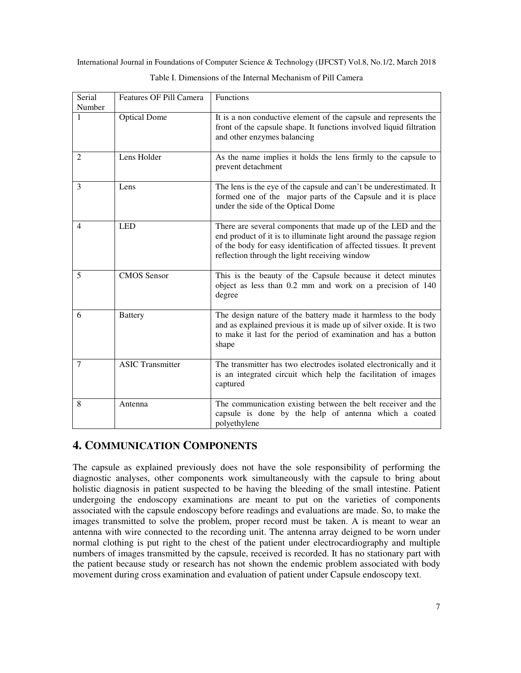| Serial<br>Number | Features OF Pill Camera | Functions                                                                                                                                                                                                                                                  |
|------------------|-------------------------|------------------------------------------------------------------------------------------------------------------------------------------------------------------------------------------------------------------------------------------------------------|
| 1                | <b>Optical Dome</b>     | It is a non conductive element of the capsule and represents the<br>front of the capsule shape. It functions involved liquid filtration<br>and other enzymes balancing                                                                                     |
| 2                | Lens Holder             | As the name implies it holds the lens firmly to the capsule to<br>prevent detachment                                                                                                                                                                       |
| 3                | Lens                    | The lens is the eye of the capsule and can't be underestimated. It<br>formed one of the major parts of the Capsule and it is place<br>under the side of the Optical Dome                                                                                   |
| $\overline{4}$   | <b>LED</b>              | There are several components that made up of the LED and the<br>end product of it is to illuminate light around the passage region<br>of the body for easy identification of affected tissues. It prevent<br>reflection through the light receiving window |
| 5                | <b>CMOS</b> Sensor      | This is the beauty of the Capsule because it detect minutes<br>object as less than 0.2 mm and work on a precision of 140<br>degree                                                                                                                         |
| 6                | <b>Battery</b>          | The design nature of the battery made it harmless to the body<br>and as explained previous it is made up of silver oxide. It is two<br>to make it last for the period of examination and has a button<br>shape                                             |
| 7                | <b>ASIC Transmitter</b> | The transmitter has two electrodes isolated electronically and it<br>is an integrated circuit which help the facilitation of images<br>captured                                                                                                            |
| 8                | Antenna                 | The communication existing between the belt receiver and the<br>capsule is done by the help of antenna which a coated<br>polyethylene                                                                                                                      |

Table I. Dimensions of the Internal Mechanism of Pill Camera

# **4. COMMUNICATION COMPONENTS**

The capsule as explained previously does not have the sole responsibility of performing the diagnostic analyses, other components work simultaneously with the capsule to bring about holistic diagnosis in patient suspected to be having the bleeding of the small intestine. Patient undergoing the endoscopy examinations are meant to put on the varieties of components associated with the capsule endoscopy before readings and evaluations are made. So, to make the images transmitted to solve the problem, proper record must be taken. A is meant to wear an antenna with wire connected to the recording unit. The antenna array deigned to be worn under normal clothing is put right to the chest of the patient under electrocardiography and multiple numbers of images transmitted by the capsule, received is recorded. It has no stationary part with the patient because study or research has not shown the endemic problem associated with body movement during cross examination and evaluation of patient under Capsule endoscopy text.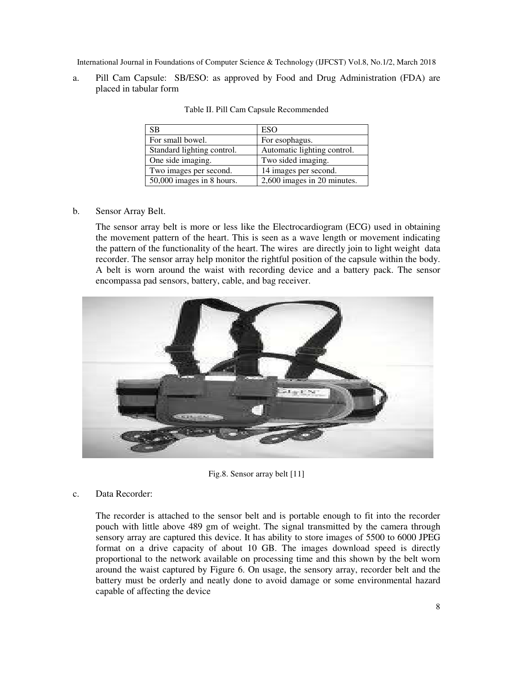a. Pill Cam Capsule: SB/ESO: as approved by Food and Drug Administration (FDA) are placed in tabular form

| <b>SB</b>                  | <b>ESO</b>                  |
|----------------------------|-----------------------------|
| For small bowel.           | For esophagus.              |
| Standard lighting control. | Automatic lighting control. |
| One side imaging.          | Two sided imaging.          |
| Two images per second.     | 14 images per second.       |
| 50,000 images in 8 hours.  | 2,600 images in 20 minutes. |

Table II. Pill Cam Capsule Recommended

b. Sensor Array Belt.

The sensor array belt is more or less like the Electrocardiogram (ECG) used in obtaining the movement pattern of the heart. This is seen as a wave length or movement indicating the pattern of the functionality of the heart. The wires are directly join to light weight data recorder. The sensor array help monitor the rightful position of the capsule within the body. A belt is worn around the waist with recording device and a battery pack. The sensor encompassa pad sensors, battery, cable, and bag receiver.



Fig.8. Sensor array belt [11]

#### c. Data Recorder:

The recorder is attached to the sensor belt and is portable enough to fit into the recorder pouch with little above 489 gm of weight. The signal transmitted by the camera through sensory array are captured this device. It has ability to store images of 5500 to 6000 JPEG format on a drive capacity of about 10 GB. The images download speed is directly proportional to the network available on processing time and this shown by the belt worn around the waist captured by Figure 6. On usage, the sensory array, recorder belt and the battery must be orderly and neatly done to avoid damage or some environmental hazard capable of affecting the device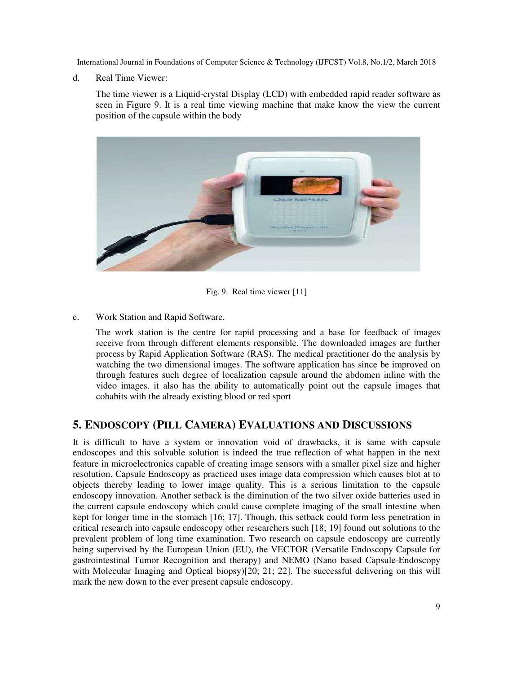d. Real Time Viewer:

The time viewer is a Liquid-crystal Display (LCD) with embedded rapid reader software as seen in Figure 9. It is a real time viewing machine that make know the view the current position of the capsule within the body



Fig. 9. Real time viewer [11]

e. Work Station and Rapid Software.

The work station is the centre for rapid processing and a base for feedback of images receive from through different elements responsible. The downloaded images are further process by Rapid Application Software (RAS). The medical practitioner do the analysis by watching the two dimensional images. The software application has since be improved on through features such degree of localization capsule around the abdomen inline with the video images. it also has the ability to automatically point out the capsule images that cohabits with the already existing blood or red sport

## **5. ENDOSCOPY (PILL CAMERA) EVALUATIONS AND DISCUSSIONS**

It is difficult to have a system or innovation void of drawbacks, it is same with capsule endoscopes and this solvable solution is indeed the true reflection of what happen in the next feature in microelectronics capable of creating image sensors with a smaller pixel size and higher resolution. Capsule Endoscopy as practiced uses image data compression which causes blot at to objects thereby leading to lower image quality. This is a serious limitation to the capsule endoscopy innovation. Another setback is the diminution of the two silver oxide batteries used in the current capsule endoscopy which could cause complete imaging of the small intestine when kept for longer time in the stomach [16; 17]. Though, this setback could form less penetration in critical research into capsule endoscopy other researchers such [18; 19] found out solutions to the prevalent problem of long time examination. Two research on capsule endoscopy are currently being supervised by the European Union (EU), the VECTOR (Versatile Endoscopy Capsule for gastrointestinal Tumor Recognition and therapy) and NEMO (Nano based Capsule-Endoscopy with Molecular Imaging and Optical biopsy)[20; 21; 22]. The successful delivering on this will mark the new down to the ever present capsule endoscopy.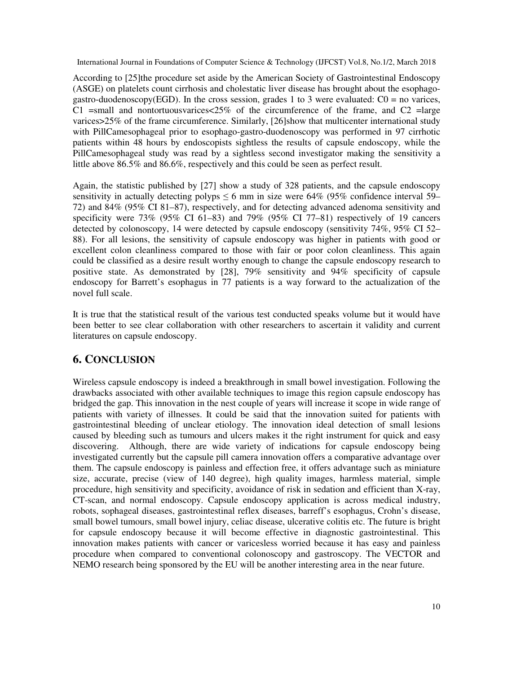According to [25]the procedure set aside by the American Society of Gastrointestinal Endoscopy (ASGE) on platelets count cirrhosis and cholestatic liver disease has brought about the esophagogastro-duodenoscopy(EGD). In the cross session, grades 1 to 3 were evaluated:  $C0 =$  no varices, C1 =small and nontortuousvarices $\leq$ 25% of the circumference of the frame, and C2 = large varices>25% of the frame circumference. Similarly, [26]show that multicenter international study with PillCamesophageal prior to esophago-gastro-duodenoscopy was performed in 97 cirrhotic patients within 48 hours by endoscopists sightless the results of capsule endoscopy, while the PillCamesophageal study was read by a sightless second investigator making the sensitivity a little above 86.5% and 86.6%, respectively and this could be seen as perfect result.

Again, the statistic published by [27] show a study of 328 patients, and the capsule endoscopy sensitivity in actually detecting polyps  $\leq 6$  mm in size were 64% (95% confidence interval 59– 72) and 84% (95% CI 81–87), respectively, and for detecting advanced adenoma sensitivity and specificity were  $73\%$  (95% CI 61–83) and  $79\%$  (95% CI 77–81) respectively of 19 cancers detected by colonoscopy, 14 were detected by capsule endoscopy (sensitivity 74%, 95% CI 52– 88). For all lesions, the sensitivity of capsule endoscopy was higher in patients with good or excellent colon cleanliness compared to those with fair or poor colon cleanliness. This again could be classified as a desire result worthy enough to change the capsule endoscopy research to positive state. As demonstrated by [28], 79% sensitivity and 94% specificity of capsule endoscopy for Barrett's esophagus in 77 patients is a way forward to the actualization of the novel full scale.

It is true that the statistical result of the various test conducted speaks volume but it would have been better to see clear collaboration with other researchers to ascertain it validity and current literatures on capsule endoscopy.

## **6. CONCLUSION**

Wireless capsule endoscopy is indeed a breakthrough in small bowel investigation. Following the drawbacks associated with other available techniques to image this region capsule endoscopy has bridged the gap. This innovation in the nest couple of years will increase it scope in wide range of patients with variety of illnesses. It could be said that the innovation suited for patients with gastrointestinal bleeding of unclear etiology. The innovation ideal detection of small lesions caused by bleeding such as tumours and ulcers makes it the right instrument for quick and easy discovering. Although, there are wide variety of indications for capsule endoscopy being investigated currently but the capsule pill camera innovation offers a comparative advantage over them. The capsule endoscopy is painless and effection free, it offers advantage such as miniature size, accurate, precise (view of 140 degree), high quality images, harmless material, simple procedure, high sensitivity and specificity, avoidance of risk in sedation and efficient than X-ray, CT-scan, and normal endoscopy. Capsule endoscopy application is across medical industry, robots, sophageal diseases, gastrointestinal reflex diseases, barreff's esophagus, Crohn's disease, small bowel tumours, small bowel injury, celiac disease, ulcerative colitis etc. The future is bright for capsule endoscopy because it will become effective in diagnostic gastrointestinal. This innovation makes patients with cancer or varicesless worried because it has easy and painless procedure when compared to conventional colonoscopy and gastroscopy. The VECTOR and NEMO research being sponsored by the EU will be another interesting area in the near future.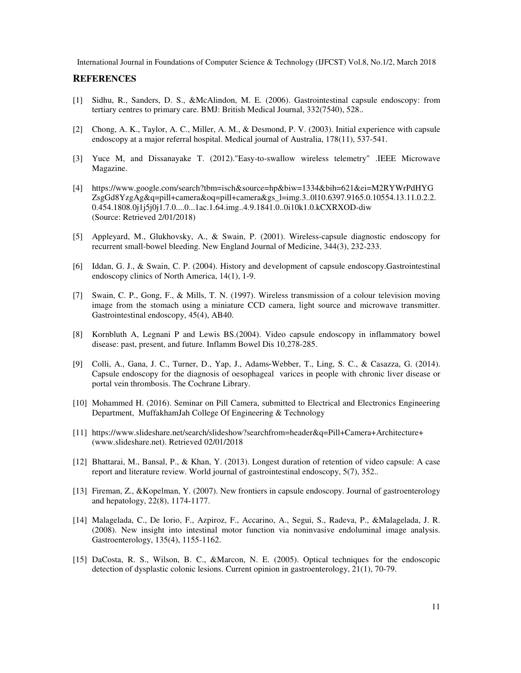#### **REFERENCES**

- [1] Sidhu, R., Sanders, D. S., &McAlindon, M. E. (2006). Gastrointestinal capsule endoscopy: from tertiary centres to primary care. BMJ: British Medical Journal, 332(7540), 528..
- [2] Chong, A. K., Taylor, A. C., Miller, A. M., & Desmond, P. V. (2003). Initial experience with capsule endoscopy at a major referral hospital. Medical journal of Australia, 178(11), 537-541.
- [3] Yuce M, and Dissanayake T. (2012)."Easy-to-swallow wireless telemetry" .IEEE Microwave Magazine.
- [4] https://www.google.com/search?tbm=isch&source=hp&biw=1334&bih=621&ei=M2RYWrPdHYG ZsgGd8YzgAg&q=pill+camera&oq=pill+camera&gs\_l=img.3..0l10.6397.9165.0.10554.13.11.0.2.2. 0.454.1808.0j1j5j0j1.7.0....0...1ac.1.64.img..4.9.1841.0..0i10k1.0.kCXRXOD-diw (Source: Retrieved 2/01/2018)
- [5] Appleyard, M., Glukhovsky, A., & Swain, P. (2001). Wireless-capsule diagnostic endoscopy for recurrent small-bowel bleeding. New England Journal of Medicine, 344(3), 232-233.
- [6] Iddan, G. J., & Swain, C. P. (2004). History and development of capsule endoscopy.Gastrointestinal endoscopy clinics of North America, 14(1), 1-9.
- [7] Swain, C. P., Gong, F., & Mills, T. N. (1997). Wireless transmission of a colour television moving image from the stomach using a miniature CCD camera, light source and microwave transmitter. Gastrointestinal endoscopy, 45(4), AB40.
- [8] Kornbluth A, Legnani P and Lewis BS.(2004). Video capsule endoscopy in inflammatory bowel disease: past, present, and future. Inflamm Bowel Dis 10,278-285.
- [9] Colli, A., Gana, J. C., Turner, D., Yap, J., Adams‐Webber, T., Ling, S. C., & Casazza, G. (2014). Capsule endoscopy for the diagnosis of oesophageal varices in people with chronic liver disease or portal vein thrombosis. The Cochrane Library.
- [10] Mohammed H. (2016). Seminar on Pill Camera, submitted to Electrical and Electronics Engineering Department, MuffakhamJah College Of Engineering & Technology
- [11] https://www.slideshare.net/search/slideshow?searchfrom=header&q=Pill+Camera+Architecture+ (www.slideshare.net). Retrieved 02/01/2018
- [12] Bhattarai, M., Bansal, P., & Khan, Y. (2013). Longest duration of retention of video capsule: A case report and literature review. World journal of gastrointestinal endoscopy, 5(7), 352..
- [13] Fireman, Z., &Kopelman, Y. (2007). New frontiers in capsule endoscopy. Journal of gastroenterology and hepatology, 22(8), 1174-1177.
- [14] Malagelada, C., De Iorio, F., Azpiroz, F., Accarino, A., Segui, S., Radeva, P., &Malagelada, J. R. (2008). New insight into intestinal motor function via noninvasive endoluminal image analysis. Gastroenterology, 135(4), 1155-1162.
- [15] DaCosta, R. S., Wilson, B. C., &Marcon, N. E. (2005). Optical techniques for the endoscopic detection of dysplastic colonic lesions. Current opinion in gastroenterology, 21(1), 70-79.